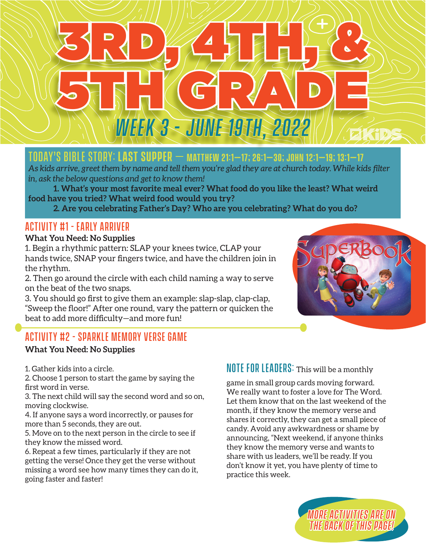# 3RD, 45HH, 8 5TH GRADE *Week 3 - June 19th, 2022*

## Today's Bible Story: **Last Supper** – **Matthew 21:1–17; 26:1–30; John 12:1–19; 13:1–17**

*As kids arrive, greet them by name and tell them you're glad they are at church today. While kids filter in, ask the below questions and get to know them!*

**1. What's your most favorite meal ever? What food do you like the least? What weird food have you tried? What weird food would you try?**

**2. Are you celebrating Father's Day? Who are you celebrating? What do you do?**

## Activity #1 - early arriver

#### **What You Need: No Supplies**

1. Begin a rhythmic pattern: SLAP your knees twice, CLAP your hands twice, SNAP your fingers twice, and have the children join in the rhythm.

2. Then go around the circle with each child naming a way to serve on the beat of the two snaps.

3. You should go first to give them an example: slap-slap, clap-clap, "Sweep the floor!" After one round, vary the pattern or quicken the beat to add more difficulty—and more fun!



## Activity #2 - Sparkle Memory verse game

#### **What You Need: No Supplies**

1. Gather kids into a circle.

2. Choose 1 person to start the game by saying the first word in verse.

3. The next child will say the second word and so on, moving clockwise.

4. If anyone says a word incorrectly, or pauses for more than 5 seconds, they are out.

5. Move on to the next person in the circle to see if they know the missed word.

6. Repeat a few times, particularly if they are not getting the verse! Once they get the verse without missing a word see how many times they can do it, going faster and faster!

### $N$  OTE FOR LEADERS: This will be a monthly

game in small group cards moving forward. We really want to foster a love for The Word. Let them know that on the last weekend of the month, if they know the memory verse and shares it correctly, they can get a small piece of candy. Avoid any awkwardness or shame by announcing, "Next weekend, if anyone thinks they know the memory verse and wants to share with us leaders, we'll be ready. If you don't know it yet, you have plenty of time to practice this week.

> *More Activities are on the back of this page!*